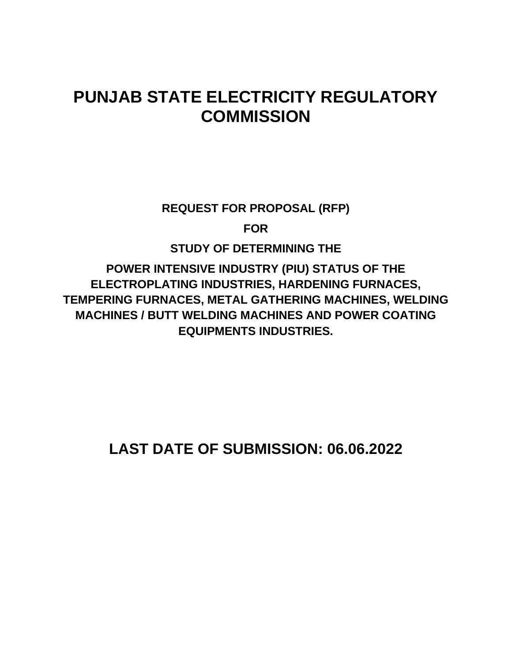# **PUNJAB STATE ELECTRICITY REGULATORY COMMISSION**

**REQUEST FOR PROPOSAL (RFP)**

**FOR**

**STUDY OF DETERMINING THE**

**POWER INTENSIVE INDUSTRY (PIU) STATUS OF THE ELECTROPLATING INDUSTRIES, HARDENING FURNACES, TEMPERING FURNACES, METAL GATHERING MACHINES, WELDING MACHINES / BUTT WELDING MACHINES AND POWER COATING EQUIPMENTS INDUSTRIES.**

**LAST DATE OF SUBMISSION: 06.06.2022**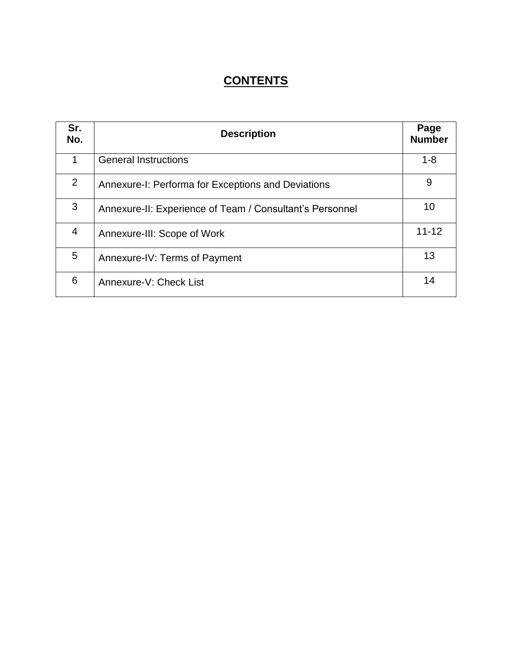## **CONTENTS**

| Sr.<br>No. | <b>Description</b>                                       |           |  |
|------------|----------------------------------------------------------|-----------|--|
| 1          | <b>General Instructions</b>                              | $1 - 8$   |  |
| 2          | Annexure-I: Performa for Exceptions and Deviations       | 9         |  |
| 3          | Annexure-II: Experience of Team / Consultant's Personnel | 10        |  |
| 4          | Annexure-III: Scope of Work                              | $11 - 12$ |  |
| 5          | Annexure-IV: Terms of Payment                            | 13        |  |
| 6          | Annexure-V: Check List                                   | 14        |  |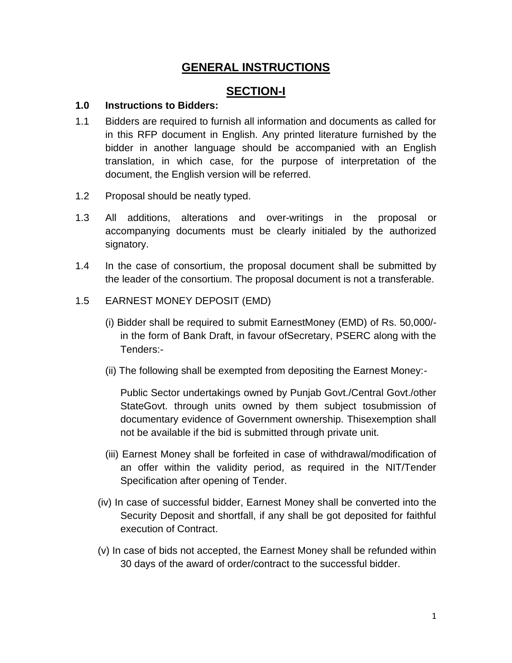## **GENERAL INSTRUCTIONS**

## **SECTION-I**

#### **1.0 Instructions to Bidders:**

- 1.1 Bidders are required to furnish all information and documents as called for in this RFP document in English. Any printed literature furnished by the bidder in another language should be accompanied with an English translation, in which case, for the purpose of interpretation of the document, the English version will be referred.
- 1.2 Proposal should be neatly typed.
- 1.3 All additions, alterations and over-writings in the proposal or accompanying documents must be clearly initialed by the authorized signatory.
- 1.4 In the case of consortium, the proposal document shall be submitted by the leader of the consortium. The proposal document is not a transferable.
- 1.5 EARNEST MONEY DEPOSIT (EMD)
	- (i) Bidder shall be required to submit EarnestMoney (EMD) of Rs. 50,000/ in the form of Bank Draft, in favour ofSecretary, PSERC along with the Tenders:-
	- (ii) The following shall be exempted from depositing the Earnest Money:-

Public Sector undertakings owned by Punjab Govt./Central Govt./other StateGovt. through units owned by them subject tosubmission of documentary evidence of Government ownership. Thisexemption shall not be available if the bid is submitted through private unit.

- (iii) Earnest Money shall be forfeited in case of withdrawal/modification of an offer within the validity period, as required in the NIT/Tender Specification after opening of Tender.
- (iv) In case of successful bidder, Earnest Money shall be converted into the Security Deposit and shortfall, if any shall be got deposited for faithful execution of Contract.
- (v) In case of bids not accepted, the Earnest Money shall be refunded within 30 days of the award of order/contract to the successful bidder.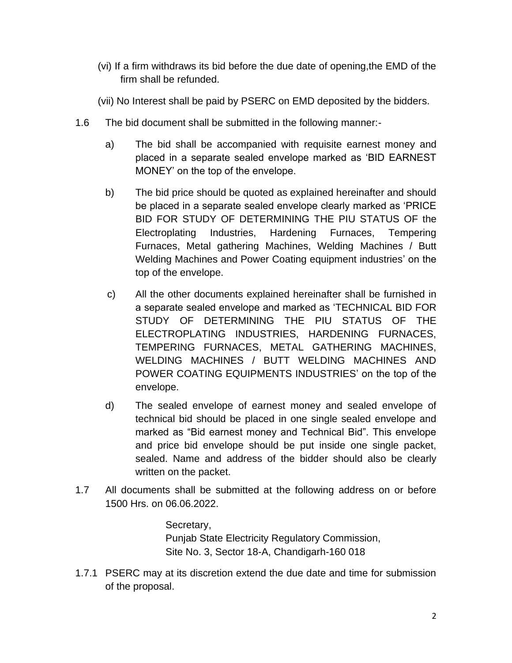- (vi) If a firm withdraws its bid before the due date of opening,the EMD of the firm shall be refunded.
- (vii) No Interest shall be paid by PSERC on EMD deposited by the bidders.
- 1.6 The bid document shall be submitted in the following manner:
	- a) The bid shall be accompanied with requisite earnest money and placed in a separate sealed envelope marked as 'BID EARNEST MONEY' on the top of the envelope.
	- b) The bid price should be quoted as explained hereinafter and should be placed in a separate sealed envelope clearly marked as 'PRICE BID FOR STUDY OF DETERMINING THE PIU STATUS OF the Electroplating Industries, Hardening Furnaces, Tempering Furnaces, Metal gathering Machines, Welding Machines / Butt Welding Machines and Power Coating equipment industries' on the top of the envelope.
	- c) All the other documents explained hereinafter shall be furnished in a separate sealed envelope and marked as 'TECHNICAL BID FOR STUDY OF DETERMINING THE PIU STATUS OF THE ELECTROPLATING INDUSTRIES, HARDENING FURNACES, TEMPERING FURNACES, METAL GATHERING MACHINES, WELDING MACHINES / BUTT WELDING MACHINES AND POWER COATING EQUIPMENTS INDUSTRIES' on the top of the envelope.
	- d) The sealed envelope of earnest money and sealed envelope of technical bid should be placed in one single sealed envelope and marked as "Bid earnest money and Technical Bid". This envelope and price bid envelope should be put inside one single packet, sealed. Name and address of the bidder should also be clearly written on the packet.
- 1.7 All documents shall be submitted at the following address on or before 1500 Hrs. on 06.06.2022.

Secretary, Punjab State Electricity Regulatory Commission, Site No. 3, Sector 18-A, Chandigarh-160 018

1.7.1 PSERC may at its discretion extend the due date and time for submission of the proposal.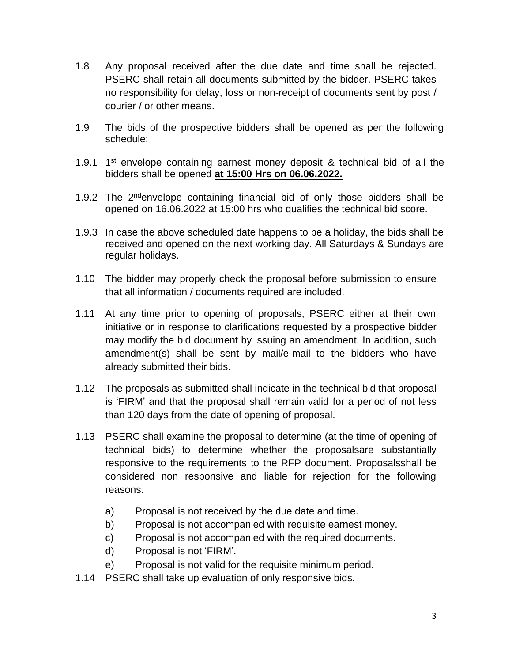- 1.8 Any proposal received after the due date and time shall be rejected. PSERC shall retain all documents submitted by the bidder. PSERC takes no responsibility for delay, loss or non-receipt of documents sent by post / courier / or other means.
- 1.9 The bids of the prospective bidders shall be opened as per the following schedule:
- 1.9.1  $1<sup>st</sup>$  envelope containing earnest money deposit & technical bid of all the bidders shall be opened **at 15:00 Hrs on 06.06.2022.**
- 1.9.2 The  $2^{nd}$  envelope containing financial bid of only those bidders shall be opened on 16.06.2022 at 15:00 hrs who qualifies the technical bid score.
- 1.9.3 In case the above scheduled date happens to be a holiday, the bids shall be received and opened on the next working day. All Saturdays & Sundays are regular holidays.
- 1.10 The bidder may properly check the proposal before submission to ensure that all information / documents required are included.
- 1.11 At any time prior to opening of proposals, PSERC either at their own initiative or in response to clarifications requested by a prospective bidder may modify the bid document by issuing an amendment. In addition, such amendment(s) shall be sent by mail/e-mail to the bidders who have already submitted their bids.
- 1.12 The proposals as submitted shall indicate in the technical bid that proposal is 'FIRM' and that the proposal shall remain valid for a period of not less than 120 days from the date of opening of proposal.
- 1.13 PSERC shall examine the proposal to determine (at the time of opening of technical bids) to determine whether the proposalsare substantially responsive to the requirements to the RFP document. Proposalsshall be considered non responsive and liable for rejection for the following reasons.
	- a) Proposal is not received by the due date and time.
	- b) Proposal is not accompanied with requisite earnest money.
	- c) Proposal is not accompanied with the required documents.
	- d) Proposal is not 'FIRM'.
	- e) Proposal is not valid for the requisite minimum period.
- 1.14 PSERC shall take up evaluation of only responsive bids.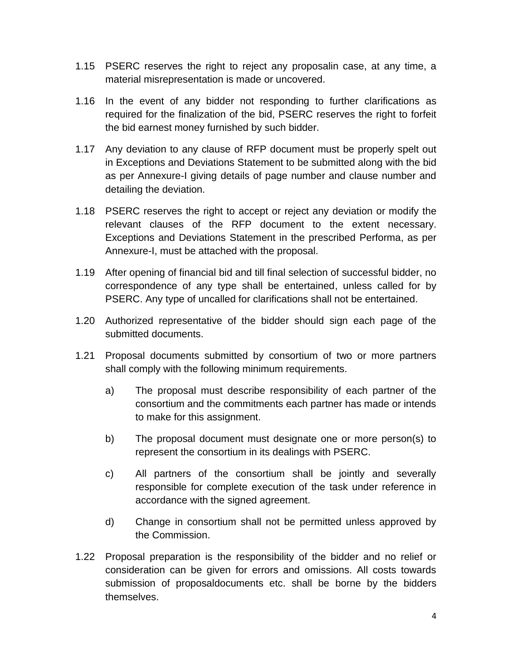- 1.15 PSERC reserves the right to reject any proposalin case, at any time, a material misrepresentation is made or uncovered.
- 1.16 In the event of any bidder not responding to further clarifications as required for the finalization of the bid, PSERC reserves the right to forfeit the bid earnest money furnished by such bidder.
- 1.17 Any deviation to any clause of RFP document must be properly spelt out in Exceptions and Deviations Statement to be submitted along with the bid as per Annexure-I giving details of page number and clause number and detailing the deviation.
- 1.18 PSERC reserves the right to accept or reject any deviation or modify the relevant clauses of the RFP document to the extent necessary. Exceptions and Deviations Statement in the prescribed Performa, as per Annexure-I, must be attached with the proposal.
- 1.19 After opening of financial bid and till final selection of successful bidder, no correspondence of any type shall be entertained, unless called for by PSERC. Any type of uncalled for clarifications shall not be entertained.
- 1.20 Authorized representative of the bidder should sign each page of the submitted documents.
- 1.21 Proposal documents submitted by consortium of two or more partners shall comply with the following minimum requirements.
	- a) The proposal must describe responsibility of each partner of the consortium and the commitments each partner has made or intends to make for this assignment.
	- b) The proposal document must designate one or more person(s) to represent the consortium in its dealings with PSERC.
	- c) All partners of the consortium shall be jointly and severally responsible for complete execution of the task under reference in accordance with the signed agreement.
	- d) Change in consortium shall not be permitted unless approved by the Commission.
- 1.22 Proposal preparation is the responsibility of the bidder and no relief or consideration can be given for errors and omissions. All costs towards submission of proposaldocuments etc. shall be borne by the bidders themselves.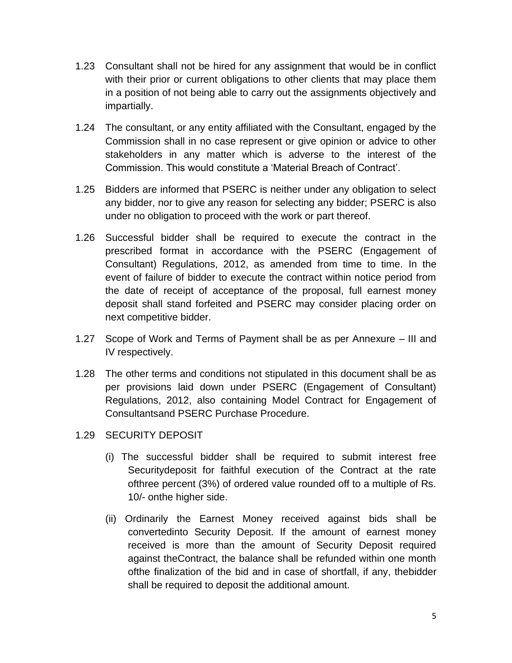- 1.23 Consultant shall not be hired for any assignment that would be in conflict with their prior or current obligations to other clients that may place them in a position of not being able to carry out the assignments objectively and impartially.
- 1.24 The consultant, or any entity affiliated with the Consultant, engaged by the Commission shall in no case represent or give opinion or advice to other stakeholders in any matter which is adverse to the interest of the Commission. This would constitute a 'Material Breach of Contract'.
- 1.25 Bidders are informed that PSERC is neither under any obligation to select any bidder, nor to give any reason for selecting any bidder; PSERC is also under no obligation to proceed with the work or part thereof.
- 1.26 Successful bidder shall be required to execute the contract in the prescribed format in accordance with the PSERC (Engagement of Consultant) Regulations, 2012, as amended from time to time. In the event of failure of bidder to execute the contract within notice period from the date of receipt of acceptance of the proposal, full earnest money deposit shall stand forfeited and PSERC may consider placing order on next competitive bidder.
- 1.27 Scope of Work and Terms of Payment shall be as per Annexure III and IV respectively.
- 1.28 The other terms and conditions not stipulated in this document shall be as per provisions laid down under PSERC (Engagement of Consultant) Regulations, 2012, also containing Model Contract for Engagement of Consultantsand PSERC Purchase Procedure.
- 1.29 SECURITY DEPOSIT
	- (i) The successful bidder shall be required to submit interest free Securitydeposit for faithful execution of the Contract at the rate ofthree percent (3%) of ordered value rounded off to a multiple of Rs. 10/- onthe higher side.
	- (ii) Ordinarily the Earnest Money received against bids shall be convertedinto Security Deposit. If the amount of earnest money received is more than the amount of Security Deposit required against theContract, the balance shall be refunded within one month ofthe finalization of the bid and in case of shortfall, if any, thebidder shall be required to deposit the additional amount.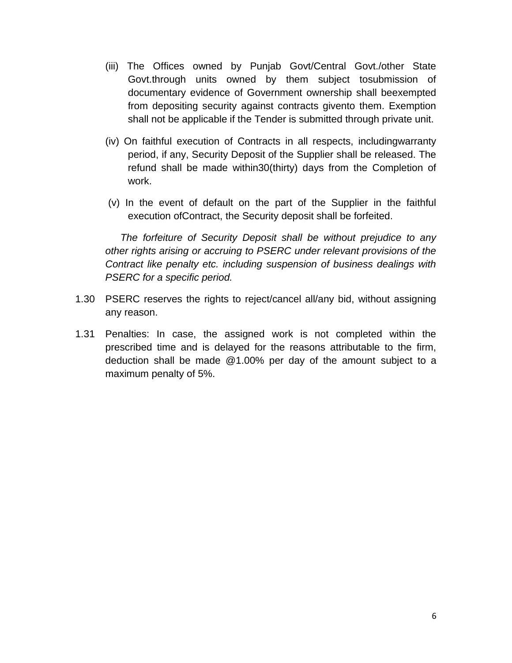- (iii) The Offices owned by Punjab Govt/Central Govt./other State Govt.through units owned by them subject tosubmission of documentary evidence of Government ownership shall beexempted from depositing security against contracts givento them. Exemption shall not be applicable if the Tender is submitted through private unit.
- (iv) On faithful execution of Contracts in all respects, includingwarranty period, if any, Security Deposit of the Supplier shall be released. The refund shall be made within30(thirty) days from the Completion of work.
- (v) In the event of default on the part of the Supplier in the faithful execution ofContract, the Security deposit shall be forfeited.

*The forfeiture of Security Deposit shall be without prejudice to any other rights arising or accruing to PSERC under relevant provisions of the Contract like penalty etc. including suspension of business dealings with PSERC for a specific period.*

- 1.30 PSERC reserves the rights to reject/cancel all/any bid, without assigning any reason.
- 1.31 Penalties: In case, the assigned work is not completed within the prescribed time and is delayed for the reasons attributable to the firm, deduction shall be made @1.00% per day of the amount subject to a maximum penalty of 5%.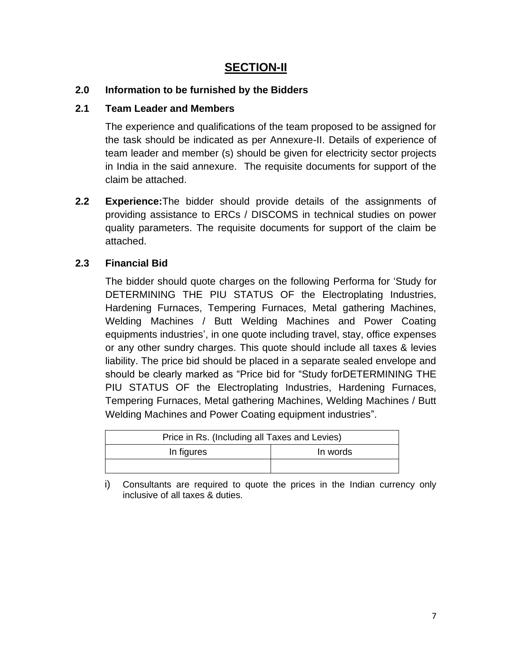## **SECTION-II**

#### **2.0 Information to be furnished by the Bidders**

#### **2.1 Team Leader and Members**

The experience and qualifications of the team proposed to be assigned for the task should be indicated as per Annexure-II. Details of experience of team leader and member (s) should be given for electricity sector projects in India in the said annexure. The requisite documents for support of the claim be attached.

**2.2 Experience:**The bidder should provide details of the assignments of providing assistance to ERCs / DISCOMS in technical studies on power quality parameters. The requisite documents for support of the claim be attached.

#### **2.3 Financial Bid**

The bidder should quote charges on the following Performa for 'Study for DETERMINING THE PIU STATUS OF the Electroplating Industries, Hardening Furnaces, Tempering Furnaces, Metal gathering Machines, Welding Machines / Butt Welding Machines and Power Coating equipments industries', in one quote including travel, stay, office expenses or any other sundry charges. This quote should include all taxes & levies liability. The price bid should be placed in a separate sealed envelope and should be clearly marked as "Price bid for "Study forDETERMINING THE PIU STATUS OF the Electroplating Industries, Hardening Furnaces, Tempering Furnaces, Metal gathering Machines, Welding Machines / Butt Welding Machines and Power Coating equipment industries".

| Price in Rs. (Including all Taxes and Levies) |          |  |  |
|-----------------------------------------------|----------|--|--|
| In figures                                    | In words |  |  |
|                                               |          |  |  |

i) Consultants are required to quote the prices in the Indian currency only inclusive of all taxes & duties.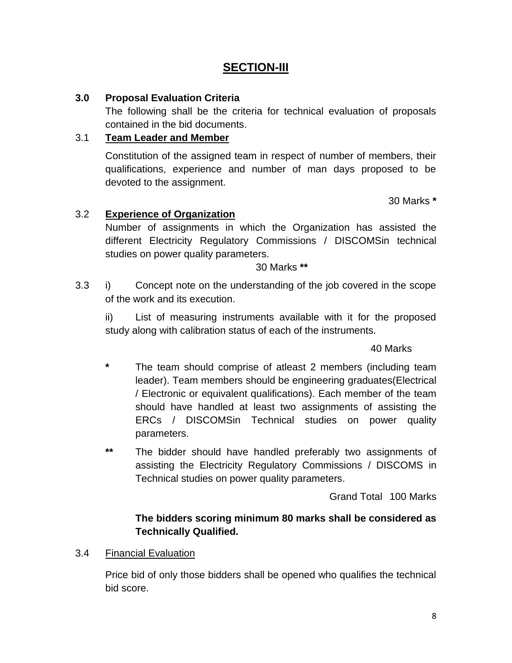## **SECTION-III**

#### **3.0 Proposal Evaluation Criteria**

The following shall be the criteria for technical evaluation of proposals contained in the bid documents.

#### 3.1 **Team Leader and Member**

Constitution of the assigned team in respect of number of members, their qualifications, experience and number of man days proposed to be devoted to the assignment.

30 Marks **\***

#### 3.2 **Experience of Organization**

Number of assignments in which the Organization has assisted the different Electricity Regulatory Commissions / DISCOMSin technical studies on power quality parameters.

30 Marks **\*\***

3.3 i) Concept note on the understanding of the job covered in the scope of the work and its execution.

ii) List of measuring instruments available with it for the proposed study along with calibration status of each of the instruments.

#### 40 Marks

- **\*** The team should comprise of atleast 2 members (including team leader). Team members should be engineering graduates(Electrical / Electronic or equivalent qualifications). Each member of the team should have handled at least two assignments of assisting the ERCs / DISCOMSin Technical studies on power quality parameters.
- **\*\*** The bidder should have handled preferably two assignments of assisting the Electricity Regulatory Commissions / DISCOMS in Technical studies on power quality parameters.

Grand Total 100 Marks

#### **The bidders scoring minimum 80 marks shall be considered as Technically Qualified.**

3.4 Financial Evaluation

Price bid of only those bidders shall be opened who qualifies the technical bid score.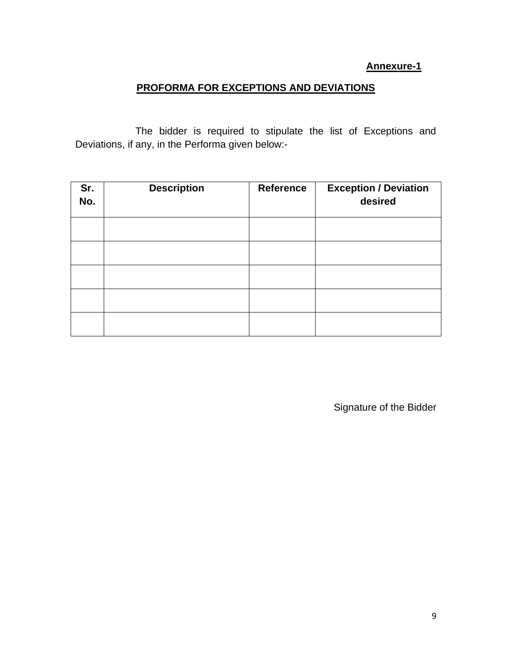#### **Annexure-1**

#### **PROFORMA FOR EXCEPTIONS AND DEVIATIONS**

The bidder is required to stipulate the list of Exceptions and Deviations, if any, in the Performa given below:-

| Sr.<br>No. | <b>Description</b> | <b>Reference</b> | <b>Exception / Deviation</b><br>desired |
|------------|--------------------|------------------|-----------------------------------------|
|            |                    |                  |                                         |
|            |                    |                  |                                         |
|            |                    |                  |                                         |
|            |                    |                  |                                         |
|            |                    |                  |                                         |

Signature of the Bidder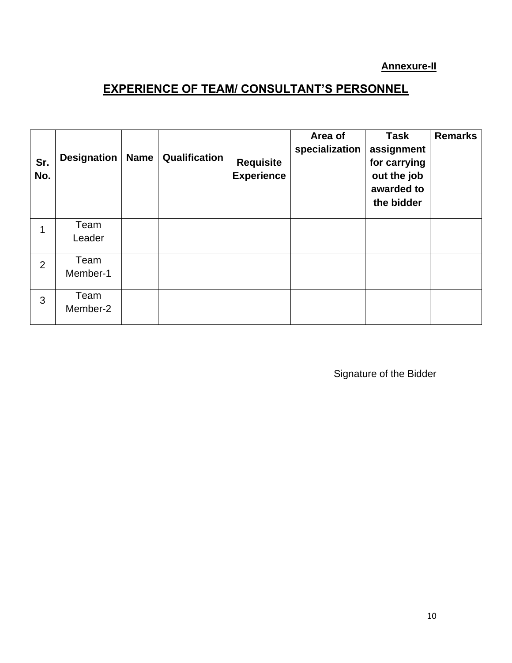### **Annexure-II**

## **EXPERIENCE OF TEAM/ CONSULTANT'S PERSONNEL**

| Sr.<br>No.     | <b>Designation</b> | <b>Name</b> | Qualification | <b>Requisite</b><br><b>Experience</b> | Area of<br>specialization | <b>Task</b><br>assignment<br>for carrying<br>out the job<br>awarded to<br>the bidder | <b>Remarks</b> |
|----------------|--------------------|-------------|---------------|---------------------------------------|---------------------------|--------------------------------------------------------------------------------------|----------------|
| 1              | Team<br>Leader     |             |               |                                       |                           |                                                                                      |                |
| $\overline{2}$ | Team<br>Member-1   |             |               |                                       |                           |                                                                                      |                |
| 3              | Team<br>Member-2   |             |               |                                       |                           |                                                                                      |                |

Signature of the Bidder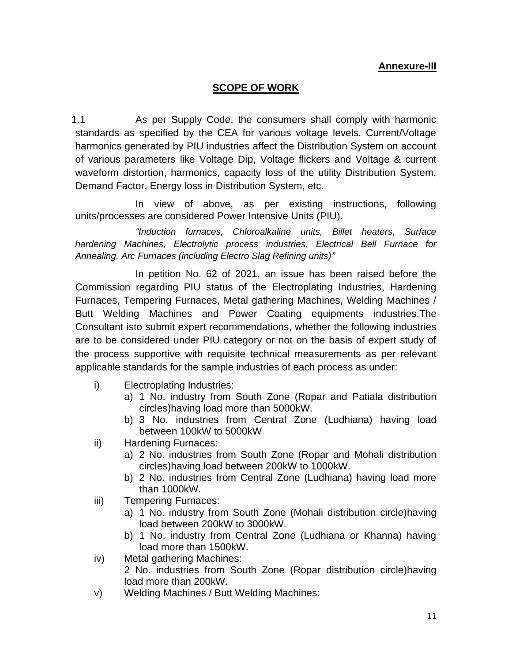#### **Annexure-III**

#### **SCOPE OF WORK**

1.1 As per Supply Code, the consumers shall comply with harmonic standards as specified by the CEA for various voltage levels. Current/Voltage harmonics generated by PIU industries affect the Distribution System on account of various parameters like Voltage Dip, Voltage flickers and Voltage & current waveform distortion, harmonics, capacity loss of the utility Distribution System, Demand Factor, Energy loss in Distribution System, etc.

In view of above, as per existing instructions, following units/processes are considered Power Intensive Units (PIU).

*"Induction furnaces, Chloroalkaline units, Billet heaters, Surface hardening Machines, Electrolytic process industries, Electrical Bell Furnace for Annealing, Arc Furnaces (including Electro Slag Refining units)"*

In petition No. 62 of 2021, an issue has been raised before the Commission regarding PIU status of the Electroplating Industries, Hardening Furnaces, Tempering Furnaces, Metal gathering Machines, Welding Machines / Butt Welding Machines and Power Coating equipments industries.The Consultant isto submit expert recommendations, whether the following industries are to be considered under PIU category or not on the basis of expert study of the process supportive with requisite technical measurements as per relevant applicable standards for the sample industries of each process as under:

- i) Electroplating Industries:
	- a) 1 No. industry from South Zone (Ropar and Patiala distribution circles)having load more than 5000kW.
	- b) 3 No. industries from Central Zone (Ludhiana) having load between 100kW to 5000kW
- ii) Hardening Furnaces:
	- a) 2 No. industries from South Zone (Ropar and Mohali distribution circles)having load between 200kW to 1000kW.
	- b) 2 No. industries from Central Zone (Ludhiana) having load more than 1000kW.
- iii) Tempering Furnaces:
	- a) 1 No. industry from South Zone (Mohali distribution circle)having load between 200kW to 3000kW.
	- b) 1 No. industry from Central Zone (Ludhiana or Khanna) having load more than 1500kW.
- iv) Metal gathering Machines: 2 No. industries from South Zone (Ropar distribution circle)having load more than 200kW.
- v) Welding Machines / Butt Welding Machines: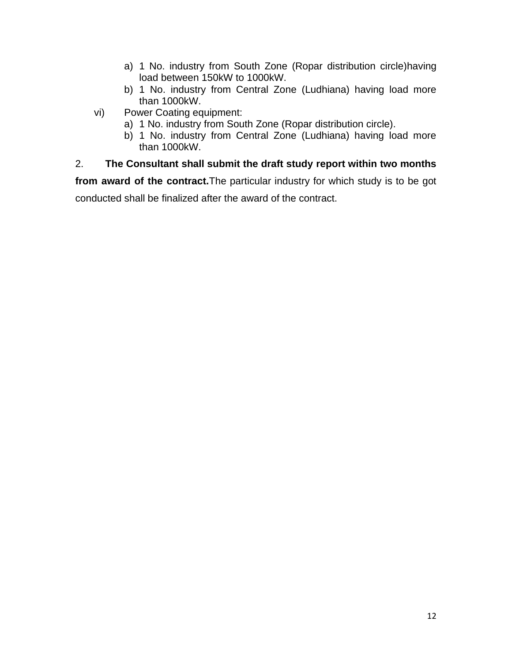- a) 1 No. industry from South Zone (Ropar distribution circle)having load between 150kW to 1000kW.
- b) 1 No. industry from Central Zone (Ludhiana) having load more than 1000kW.
- vi) Power Coating equipment:
	- a) 1 No. industry from South Zone (Ropar distribution circle).
	- b) 1 No. industry from Central Zone (Ludhiana) having load more than 1000kW.

### 2. **The Consultant shall submit the draft study report within two months**

**from award of the contract.**The particular industry for which study is to be got conducted shall be finalized after the award of the contract.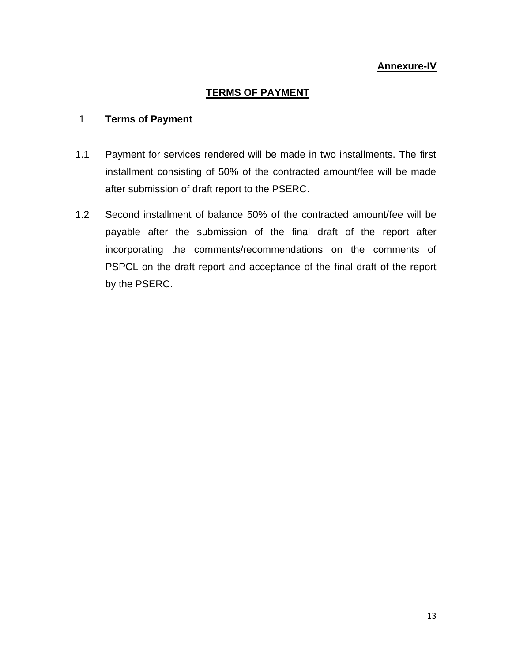#### **Annexure-IV**

#### **TERMS OF PAYMENT**

#### 1 **Terms of Payment**

- 1.1 Payment for services rendered will be made in two installments. The first installment consisting of 50% of the contracted amount/fee will be made after submission of draft report to the PSERC.
- 1.2 Second installment of balance 50% of the contracted amount/fee will be payable after the submission of the final draft of the report after incorporating the comments/recommendations on the comments of PSPCL on the draft report and acceptance of the final draft of the report by the PSERC.